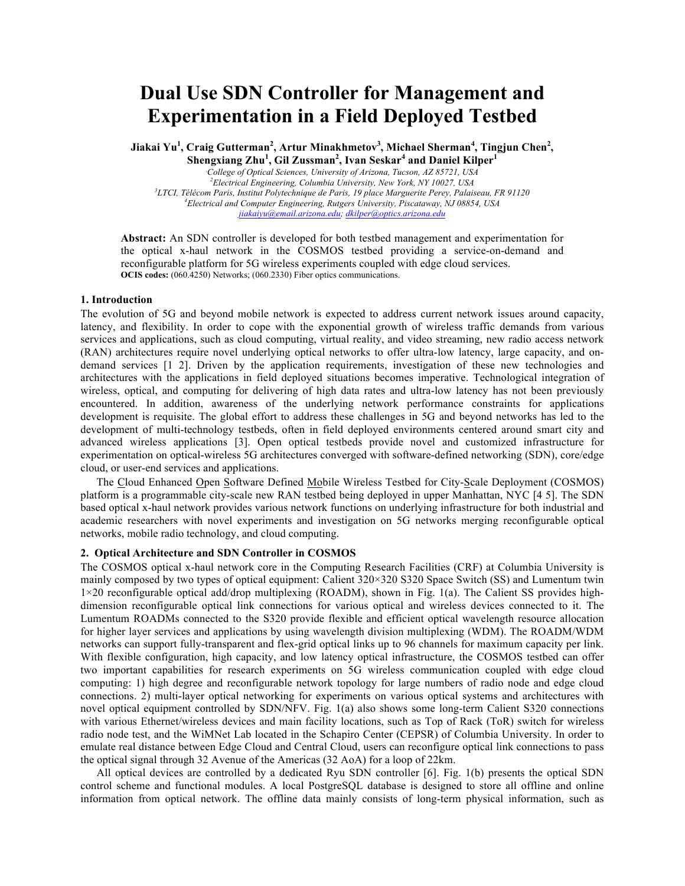# **Dual Use SDN Controller for Management and Experimentation in a Field Deployed Testbed**

**Jiakai Yu<sup>1</sup> , Craig Gutterman<sup>2</sup> , Artur Minakhmetov<sup>3</sup> , Michael Sherman<sup>4</sup> , Tingjun Chen<sup>2</sup> ,** 

**Shengxiang Zhu<sup>1</sup> , Gil Zussman<sup>2</sup> , Ivan Seskar<sup>4</sup> and Daniel Kilper<sup>1</sup>** *College of Optical Sciences, University of Arizona, Tucson, AZ 85721, USA Electrical Engineering, Columbia University, New York, NY 10027, USA LTCI, Télécom Paris, Institut Polytechnique de Paris, 19 place Marguerite Perey, Palaiseau, FR 91120 Electrical and Computer Engineering, Rutgers University, Piscataway, NJ 08854, USA jiakaiyu@email.arizona.edu; dkilper@optics.arizona.edu*

**Abstract:** An SDN controller is developed for both testbed management and experimentation for the optical x-haul network in the COSMOS testbed providing a service-on-demand and reconfigurable platform for 5G wireless experiments coupled with edge cloud services. **OCIS codes:** (060.4250) Networks; (060.2330) Fiber optics communications.

## **1. Introduction**

The evolution of 5G and beyond mobile network is expected to address current network issues around capacity, latency, and flexibility. In order to cope with the exponential growth of wireless traffic demands from various services and applications, such as cloud computing, virtual reality, and video streaming, new radio access network (RAN) architectures require novel underlying optical networks to offer ultra-low latency, large capacity, and ondemand services [1 2]. Driven by the application requirements, investigation of these new technologies and architectures with the applications in field deployed situations becomes imperative. Technological integration of wireless, optical, and computing for delivering of high data rates and ultra-low latency has not been previously encountered. In addition, awareness of the underlying network performance constraints for applications development is requisite. The global effort to address these challenges in 5G and beyond networks has led to the development of multi-technology testbeds, often in field deployed environments centered around smart city and advanced wireless applications [3]. Open optical testbeds provide novel and customized infrastructure for experimentation on optical-wireless 5G architectures converged with software-defined networking (SDN), core/edge cloud, or user-end services and applications.

The Cloud Enhanced Open Software Defined Mobile Wireless Testbed for City-Scale Deployment (COSMOS) platform is a programmable city-scale new RAN testbed being deployed in upper Manhattan, NYC [4 5]. The SDN based optical x-haul network provides various network functions on underlying infrastructure for both industrial and academic researchers with novel experiments and investigation on 5G networks merging reconfigurable optical networks, mobile radio technology, and cloud computing.

# **2. Optical Architecture and SDN Controller in COSMOS**

The COSMOS optical x-haul network core in the Computing Research Facilities (CRF) at Columbia University is mainly composed by two types of optical equipment: Calient 320×320 S320 Space Switch (SS) and Lumentum twin 1×20 reconfigurable optical add/drop multiplexing (ROADM), shown in Fig. 1(a). The Calient SS provides highdimension reconfigurable optical link connections for various optical and wireless devices connected to it. The Lumentum ROADMs connected to the S320 provide flexible and efficient optical wavelength resource allocation for higher layer services and applications by using wavelength division multiplexing (WDM). The ROADM/WDM networks can support fully-transparent and flex-grid optical links up to 96 channels for maximum capacity per link. With flexible configuration, high capacity, and low latency optical infrastructure, the COSMOS testbed can offer two important capabilities for research experiments on 5G wireless communication coupled with edge cloud computing: 1) high degree and reconfigurable network topology for large numbers of radio node and edge cloud connections. 2) multi-layer optical networking for experiments on various optical systems and architectures with novel optical equipment controlled by SDN/NFV. Fig. 1(a) also shows some long-term Calient S320 connections with various Ethernet/wireless devices and main facility locations, such as Top of Rack (ToR) switch for wireless radio node test, and the WiMNet Lab located in the Schapiro Center (CEPSR) of Columbia University. In order to emulate real distance between Edge Cloud and Central Cloud, users can reconfigure optical link connections to pass the optical signal through 32 Avenue of the Americas (32 AoA) for a loop of 22km.

All optical devices are controlled by a dedicated Ryu SDN controller [6]. Fig. 1(b) presents the optical SDN control scheme and functional modules. A local PostgreSQL database is designed to store all offline and online information from optical network. The offline data mainly consists of long-term physical information, such as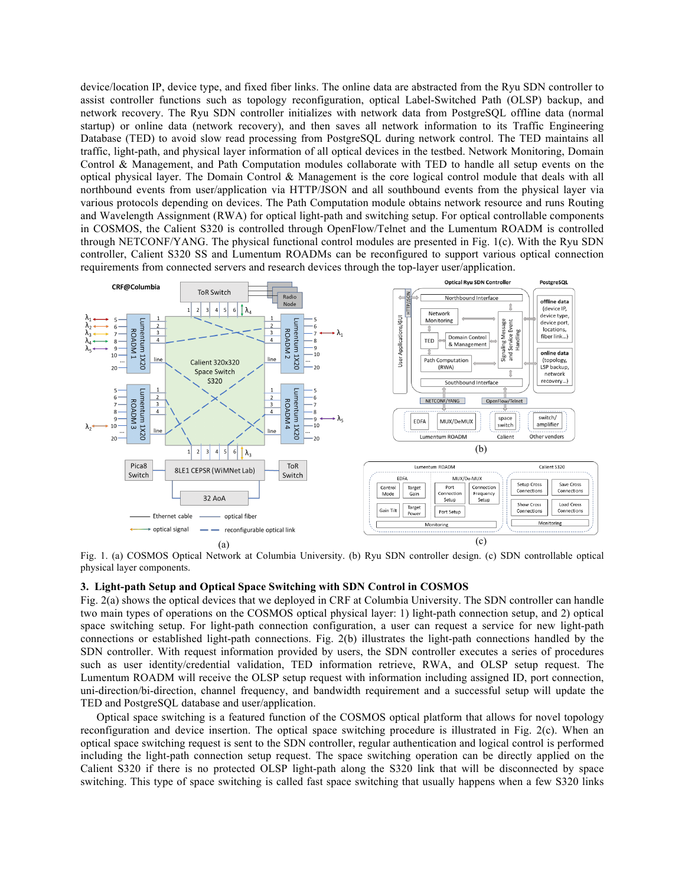device/location IP, device type, and fixed fiber links. The online data are abstracted from the Ryu SDN controller to assist controller functions such as topology reconfiguration, optical Label-Switched Path (OLSP) backup, and network recovery. The Ryu SDN controller initializes with network data from PostgreSQL offline data (normal startup) or online data (network recovery), and then saves all network information to its Traffic Engineering Database (TED) to avoid slow read processing from PostgreSQL during network control. The TED maintains all traffic, light-path, and physical layer information of all optical devices in the testbed. Network Monitoring, Domain Control & Management, and Path Computation modules collaborate with TED to handle all setup events on the optical physical layer. The Domain Control & Management is the core logical control module that deals with all northbound events from user/application via HTTP/JSON and all southbound events from the physical layer via various protocols depending on devices. The Path Computation module obtains network resource and runs Routing and Wavelength Assignment (RWA) for optical light-path and switching setup. For optical controllable components in COSMOS, the Calient S320 is controlled through OpenFlow/Telnet and the Lumentum ROADM is controlled through NETCONF/YANG. The physical functional control modules are presented in Fig. 1(c). With the Ryu SDN controller, Calient S320 SS and Lumentum ROADMs can be reconfigured to support various optical connection requirements from connected servers and research devices through the top-layer user/application.



Fig. 1. (a) COSMOS Optical Network at Columbia University. (b) Ryu SDN controller design. (c) SDN controllable optical physical layer components.

### **3. Light-path Setup and Optical Space Switching with SDN Control in COSMOS**

Fig. 2(a) shows the optical devices that we deployed in CRF at Columbia University. The SDN controller can handle two main types of operations on the COSMOS optical physical layer: 1) light-path connection setup, and 2) optical space switching setup. For light-path connection configuration, a user can request a service for new light-path connections or established light-path connections. Fig. 2(b) illustrates the light-path connections handled by the SDN controller. With request information provided by users, the SDN controller executes a series of procedures such as user identity/credential validation, TED information retrieve, RWA, and OLSP setup request. The Lumentum ROADM will receive the OLSP setup request with information including assigned ID, port connection, uni-direction/bi-direction, channel frequency, and bandwidth requirement and a successful setup will update the TED and PostgreSQL database and user/application.

Optical space switching is a featured function of the COSMOS optical platform that allows for novel topology reconfiguration and device insertion. The optical space switching procedure is illustrated in Fig. 2(c). When an optical space switching request is sent to the SDN controller, regular authentication and logical control is performed including the light-path connection setup request. The space switching operation can be directly applied on the Calient S320 if there is no protected OLSP light-path along the S320 link that will be disconnected by space switching. This type of space switching is called fast space switching that usually happens when a few S320 links